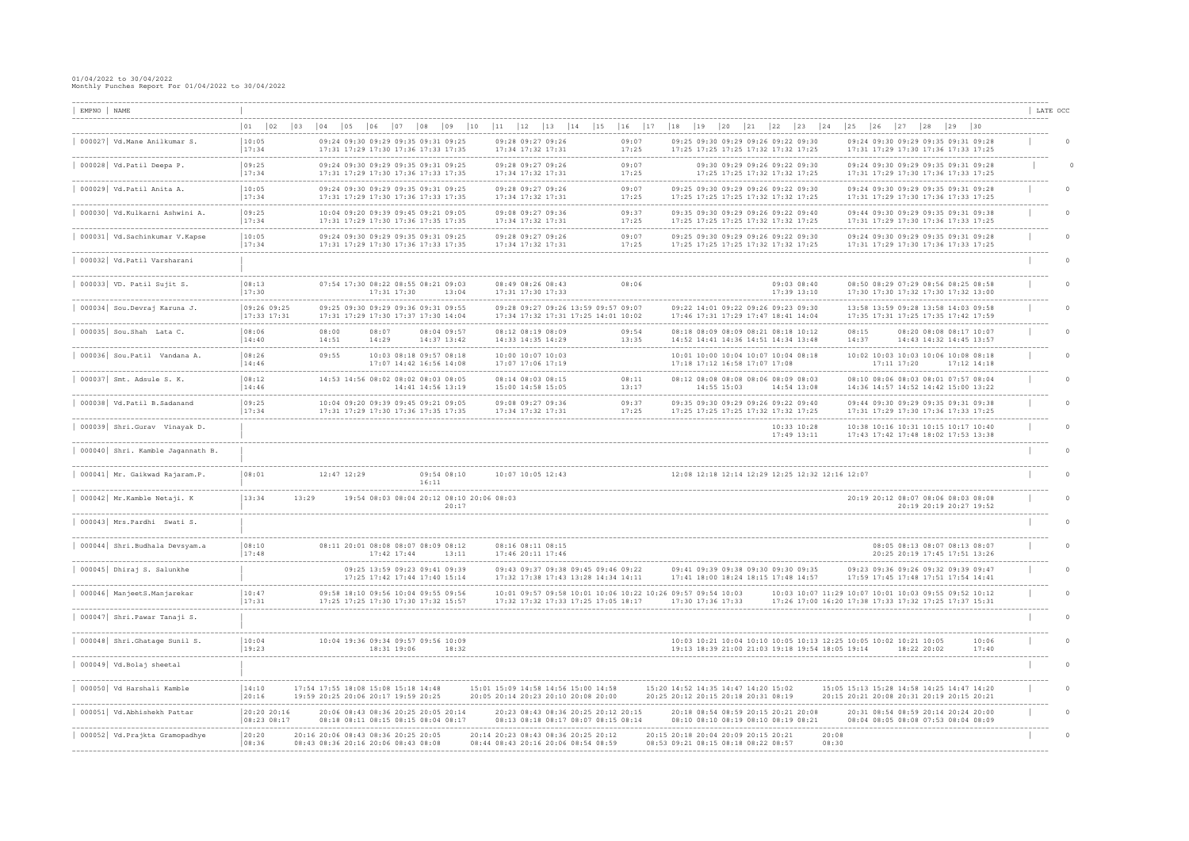| EMPNO NAME |                                                                     |                                    |                                                                            |              |                |                              |                                                                                    |                                           |                                        |                                     |                                                                                                    |    |                                                                                                                      |                        |              |                                                                                                                |    |                |              |                                                                                                                      |              |              |                    |          |
|------------|---------------------------------------------------------------------|------------------------------------|----------------------------------------------------------------------------|--------------|----------------|------------------------------|------------------------------------------------------------------------------------|-------------------------------------------|----------------------------------------|-------------------------------------|----------------------------------------------------------------------------------------------------|----|----------------------------------------------------------------------------------------------------------------------|------------------------|--------------|----------------------------------------------------------------------------------------------------------------|----|----------------|--------------|----------------------------------------------------------------------------------------------------------------------|--------------|--------------|--------------------|----------|
|            | ----------------------------                                        |                                    |                                                                            |              |                |                              |                                                                                    |                                           |                                        |                                     |                                                                                                    |    |                                                                                                                      |                        |              |                                                                                                                |    |                |              |                                                                                                                      |              |              | ------------------ | LATE OCC |
|            |                                                                     | 01<br>$ 02\rangle$<br>$ 03\rangle$ | 04                                                                         | $ 05\rangle$ | $ 06\rangle$   | $ 07\rangle$<br>$ 08\rangle$ | $ 09\rangle$                                                                       | 10<br> 11                                 | $ 12\rangle$                           | 13<br>14                            | 15<br>$ 16\rangle$                                                                                 | 17 | $\begin{array}{c} 18 \end{array}$<br>19                                                                              | $ 20\rangle$<br> 21    | $ 22\rangle$ | $ 23\rangle$                                                                                                   | 24 | $ 25\rangle$   | $ 26\rangle$ | 27                                                                                                                   | $ 28\rangle$ | $ 29\rangle$ | $ 30\rangle$       |          |
|            | 000027 Vd. Mane Anilkumar S.                                        | 10:05<br>17:34                     |                                                                            |              |                |                              | 09:24 09:30 09:29 09:35 09:31 09:25<br>17:31 17:29 17:30 17:36 17:33 17:35         |                                           | 09:28 09:27 09:26<br>17:34 17:32 17:31 |                                     | 09:07<br>17:25                                                                                     |    | 09:25 09:30 09:29 09:26 09:22 09:30<br>17:25 17:25 17:25 17:32 17:32 17:25                                           |                        |              |                                                                                                                |    |                |              | 09:24 09:30 09:29 09:35 09:31 09:28<br>17:31 17:29 17:30 17:36 17:33 17:25                                           |              |              |                    |          |
|            | 000028 Vd.Patil Deepa P.                                            | 09:25<br>17:34                     |                                                                            |              |                |                              | 09:24 09:30 09:29 09:35 09:31 09:25<br>17:31 17:29 17:30 17:36 17:33 17:35         |                                           | 09:28 09:27 09:26<br>17:34 17:32 17:31 |                                     | 09:07<br>17:25                                                                                     |    |                                                                                                                      |                        |              | 09:30 09:29 09:26 09:22 09:30<br>17:25 17:25 17:32 17:32 17:25                                                 |    |                |              | 09:24 09:30 09:29 09:35 09:31 09:28<br>17:31 17:29 17:30 17:36 17:33 17:25                                           |              |              |                    |          |
|            | 000029 Vd.Patil Anita A.                                            | 10:05<br>17:34                     |                                                                            |              |                |                              | 09:24 09:30 09:29 09:35 09:31 09:25<br>17:31 17:29 17:30 17:36 17:33 17:35         |                                           | 09:28 09:27 09:26<br>17:34 17:32 17:31 |                                     | 09:07<br>17:25                                                                                     |    | 09:25 09:30 09:29 09:26 09:22 09:30<br>17:25 17:25 17:25 17:32 17:32 17:25                                           |                        |              |                                                                                                                |    |                |              | 09:24 09:30 09:29 09:35 09:31 09:28<br>17:31 17:29 17:30 17:36 17:33 17:25                                           |              |              |                    |          |
|            | 000030   Vd.Kulkarni Ashwini A.                                     | 09:25<br> 17:34                    |                                                                            |              |                |                              | 10:04 09:20 09:39 09:45 09:21 09:05<br>17:31 17:29 17:30 17:36 17:35 17:35         |                                           | 09:08 09:27 09:36<br>17:34 17:32 17:31 |                                     | 09:37<br>17:25                                                                                     |    | 09:35 09:30 09:29 09:26 09:22 09:40<br>17:25 17:25 17:25 17:32 17:32 17:25                                           |                        |              |                                                                                                                |    |                |              | ______________________________________<br>09:44 09:30 09:29 09:35 09:31 09:38<br>17:31 17:29 17:30 17:36 17:33 17:25 |              |              |                    |          |
|            | 000031 Vd. Sachinkumar V. Kapse                                     | 10:05<br> 17:34                    |                                                                            |              |                |                              | 09:24 09:30 09:29 09:35 09:31 09:25<br>17:31 17:29 17:30 17:36 17:33 17:35         |                                           | 09:28 09:27 09:26<br>17:34 17:32 17:31 |                                     | 09:07<br>17:25                                                                                     |    | 09:25 09:30 09:29 09:26 09:22 09:30<br>17:25 17:25 17:25 17:32 17:32 17:25                                           |                        |              |                                                                                                                |    |                |              | 09:24 09:30 09:29 09:35 09:31 09:28<br>17:31 17:29 17:30 17:36 17:33 17:25                                           |              |              |                    |          |
|            | 000032 Vd.Patil Varsharani                                          |                                    |                                                                            |              |                |                              |                                                                                    |                                           |                                        |                                     |                                                                                                    |    |                                                                                                                      |                        |              |                                                                                                                |    |                |              |                                                                                                                      |              |              |                    |          |
|            | $000033$ VD. Patil Sujit S.                                         | 08:13<br>17:30                     |                                                                            |              |                | 17:31 17:30                  | 07:54 17:30 08:22 08:55 08:21 09:03<br>13:04                                       |                                           | 08:49 08:26 08:43<br>17:31 17:30 17:33 |                                     | 08:06                                                                                              |    |                                                                                                                      |                        |              | 09:03 08:40<br>17:39 13:10                                                                                     |    |                |              | 08:50 08:29 07:29 08:56 08:25 08:58<br>17:30 17:30 17:32 17:30 17:32 13:00                                           |              |              |                    |          |
|            | 000034 Sou.Devraj Karuna J.                                         | 09:26 09:25<br>$17:33$ 17:31       |                                                                            |              |                |                              | 09:25 09:30 09:29 09:36 09:31 09:55<br>17:31 17:29 17:30 17:37 17:30 14:04         |                                           |                                        |                                     | 09:28 09:27 09:26 13:59 09:57 09:07<br>17:34 17:32 17:31 17:25 14:01 10:02                         |    | 09:22 14:01 09:22 09:26 09:23 09:30<br>17:46 17:31 17:29 17:47 18:41 14:04                                           |                        |              |                                                                                                                |    |                |              | 13:58 13:59 09:28 13:58 14:03 09:58<br>17:35 17:31 17:25 17:35 17:42 17:59                                           |              |              |                    |          |
|            | . _ _ _ _ _ _ _ _ _ _ _ _ _ _ _ _ _ _<br>$000035$ Sou. Shah Lata C. | 08:06<br>14:40                     | 08:00<br>14:51                                                             |              | 08:07<br>14:29 |                              | 08:04 09:57<br>14:37 13:42                                                         |                                           | 08:12 08:19 08:09<br>14:33 14:35 14:29 | -----------------------------       | 09:54<br>13:35                                                                                     |    | --------------------------------<br>08:18 08:09 08:09 08:21 08:18 10:12<br>14:52 14:41 14:36 14:51 14:34 13:48       |                        |              |                                                                                                                |    | 08:15<br>14:37 |              | 08:20 08:08 08:17 10:07<br>14:43 14:32 14:45 13:57                                                                   |              |              |                    |          |
|            | . _ _ _ _ _ _ _ _ _ _ _ _ _ _ _ _ _<br>000036 Sou. Patil Vandana A. | 08:26<br>14:46                     | 09:55                                                                      |              |                |                              | 10:03 08:18 09:57 08:18<br>17:07 14:42 16:56 14:08                                 |                                           | 10:00 10:07 10:03<br>17:07 17:06 17:19 |                                     |                                                                                                    |    | 10:01 10:00 10:04 10:07 10:04 08:18<br>17:18 17:12 16:58 17:07 17:08                                                 | ______________________ |              |                                                                                                                |    |                |              | 10:02 10:03 10:03 10:06 10:08 08:18<br>$17:11$ $17:20$                                                               |              |              | 17:12 14:18        |          |
|            | $000037$ Smt. Adsule S. K.                                          | 08:12<br>14:46                     |                                                                            |              |                |                              | 14:53 14:56 08:02 08:02 08:03 08:05<br>14:41 14:56 13:19                           |                                           | 08:14 08:03 08:15<br>15:00 14:58 15:05 |                                     | 08:11<br>13:17                                                                                     |    | 08:12 08:08 08:08 08:06 08:09 08:03                                                                                  | 14:55 15:03            |              | 14:54 13:08                                                                                                    |    |                |              | 08:10 08:06 08:03 08:01 07:57 08:04<br>14:36 14:57 14:52 14:42 15:00 13:22                                           |              |              |                    |          |
|            | 000038 Vd.Patil B.Sadanand                                          | 09:25<br>17:34                     |                                                                            |              |                |                              | 10:04 09:20 09:39 09:45 09:21 09:05<br>17:31 17:29 17:30 17:36 17:35 17:35         |                                           | 09:08 09:27 09:36<br>17:34 17:32 17:31 |                                     | 09:37<br>17:25                                                                                     |    | 09:35 09:30 09:29 09:26 09:22 09:40<br>17:25 17:25 17:25 17:32 17:32 17:25                                           |                        |              |                                                                                                                |    |                |              | 09:44 09:30 09:29 09:35 09:31 09:38<br>17:31 17:29 17:30 17:36 17:33 17:25                                           |              |              |                    |          |
|            | ---------------------<br>000039 Shri.Gurav Vinayak D.               |                                    |                                                                            |              |                |                              |                                                                                    |                                           |                                        |                                     |                                                                                                    |    |                                                                                                                      |                        |              | $10:33$ $10:28$<br>17:49 13:11                                                                                 |    |                |              | ------------------------------<br>10:38 10:16 10:31 10:15 10:17 10:40<br>17:43 17:42 17:48 18:02 17:53 13:38         |              |              |                    |          |
|            | -----------------------------<br>000040 Shri. Kamble Jagannath B.   |                                    |                                                                            |              |                |                              |                                                                                    |                                           |                                        |                                     |                                                                                                    |    |                                                                                                                      |                        |              |                                                                                                                |    |                |              |                                                                                                                      |              |              |                    |          |
|            | 000041 Mr. Gaikwad Rajaram.P.                                       | 08:01                              |                                                                            | 12:47 12:29  |                |                              | 09:54 08:10<br>16:11                                                               |                                           | 10:07 10:05 12:43                      |                                     |                                                                                                    |    | 12:08 12:18 12:14 12:29 12:25 12:32 12:16 12:07                                                                      |                        |              |                                                                                                                |    |                |              |                                                                                                                      |              |              |                    |          |
|            | 000042 Mr. Kamble Netaji. K                                         | 13:34                              | 13:29                                                                      |              |                |                              | 20:17                                                                              | 19:54 08:03 08:04 20:12 08:10 20:06 08:03 |                                        |                                     |                                                                                                    |    |                                                                                                                      |                        |              |                                                                                                                |    |                |              | 20:19 20:12 08:07 08:06 08:03 08:08<br>20:19 20:19 20:27 19:52                                                       |              |              |                    |          |
|            | 000043 Mrs. Pardhi Swati S.                                         |                                    |                                                                            |              |                |                              |                                                                                    |                                           |                                        |                                     |                                                                                                    |    |                                                                                                                      |                        |              |                                                                                                                |    |                |              |                                                                                                                      |              |              |                    |          |
|            | 000044  Shri.Budhala Devsyam.a                                      | 08:TO<br>17:48                     |                                                                            |              |                | $17:42$ $17:44$              | 18:11 20:01 08:08 08:07 08:09 08:12<br>13:11                                       |                                           | 17:46 20:11 17:46                      |                                     |                                                                                                    |    |                                                                                                                      |                        |              |                                                                                                                |    |                |              | U8:U5 U8:I3 U8:U7 U8:<br>20:25 20:19 17:45 17:51 13:26                                                               |              |              |                    |          |
|            | 000045 Dhiraj S. Salunkhe                                           |                                    |                                                                            |              |                |                              | ----------------<br>09:25 13:59 09:23 09:41 09:39<br>17:25 17:42 17:44 17:40 15:14 |                                           |                                        |                                     | 09:43 09:37 09:38 09:45 09:46 09:22<br>17:32 17:38 17:43 13:28 14:34 14:11                         |    | 09:41 09:39 09:38 09:30 09:30 09:35<br>17:41 18:00 18:24 18:15 17:48 14:57                                           |                        |              |                                                                                                                |    |                |              | 09:23 09:36 09:26 09:32 09:39 09:47<br>17:59 17:45 17:48 17:51 17:54 14:41                                           |              |              |                    |          |
|            | 000046   ManjeetS.Manjarekar                                        | 10:47<br> 17:31                    |                                                                            |              |                |                              | 09:58 18:10 09:56 10:04 09:55 09:56<br>17:25 17:25 17:30 17:30 17:32 15:57         |                                           |                                        |                                     | 10:01 09:57 09:58 10:01 10:06 10:22 10:26 09:57 09:54 10:03<br>17:32 17:32 17:33 17:25 17:05 18:17 |    | 17:30 17:36 17:33                                                                                                    |                        |              | 10:03 10:07 11:29 10:07 10:01 10:03 09:55 09:52 10:12<br>17:26 17:00 16:20 17:38 17:33 17:32 17:25 17:37 15:31 |    |                |              |                                                                                                                      |              |              |                    |          |
|            | 000047 Shri. Pawar Tanaji S.                                        |                                    |                                                                            |              |                |                              |                                                                                    |                                           |                                        |                                     |                                                                                                    |    |                                                                                                                      |                        |              |                                                                                                                |    |                |              |                                                                                                                      |              |              |                    |          |
|            | 000048 Shri.Ghatage Sunil S.                                        | 10:04<br>19:23                     |                                                                            |              |                | 18:31 19:06                  | 10:04 19:36 09:34 09:57 09:56 10:09<br>18:32                                       |                                           |                                        |                                     |                                                                                                    |    | 10:03 10:21 10:04 10:10 10:05 10:13 12:25 10:05 10:02 10:21 10:05<br>19:13 18:39 21:00 21:03 19:18 19:54 18:05 19:14 |                        |              |                                                                                                                |    |                |              | 18:22 20:02                                                                                                          |              |              | 10:06<br>17:40     |          |
|            | 000049 Vd. Bolaj sheetal                                            |                                    |                                                                            |              |                |                              |                                                                                    |                                           |                                        |                                     |                                                                                                    |    |                                                                                                                      |                        |              |                                                                                                                |    |                |              |                                                                                                                      |              |              |                    |          |
|            | 000050   Vd Harshali Kamble                                         | 14:10<br> 20:16                    | 17:54 17:55 18:08 15:08 15:18 14:48<br>19:59 20:25 20:06 20:17 19:59 20:25 |              |                |                              |                                                                                    | 20:05 20:14 20:23 20:10 20:08 20:00       |                                        | 15:01 15:09 14:58 14:56 15:00 14:58 |                                                                                                    |    | 15:20 14:52 14:35 14:47 14:20 15:02<br>20:25 20:12 20:15 20:18 20:31 08:19                                           |                        |              |                                                                                                                |    |                |              | 15:05 15:13 15:28 14:58 14:25 14:47 14:20<br>20:15 20:21 20:08 20:31 20:19 20:15 20:21                               |              |              |                    |          |
|            | 000051   Vd.Abhishekh Pattar                                        | 20:20 20:16<br> 08:23 08:17        |                                                                            |              |                |                              | 20:06 08:43 08:36 20:25 20:05 20:14<br>08:18 08:11 08:15 08:15 08:04 08:17         |                                           |                                        |                                     | 20:23 08:43 08:36 20:25 20:12 20:15<br>08:13 08:18 08:17 08:07 08:15 08:14                         |    | 20:18 08:54 08:59 20:15 20:21 20:08<br>08:10 08:10 08:19 08:10 08:19 08:21                                           |                        |              |                                                                                                                |    |                |              | 20:31 08:54 08:59 20:14 20:24 20:00<br>08:04 08:05 08:08 07:53 08:04 08:09                                           |              |              |                    |          |
|            |                                                                     |                                    |                                                                            |              |                |                              |                                                                                    |                                           |                                        |                                     |                                                                                                    |    |                                                                                                                      |                        |              |                                                                                                                |    |                |              |                                                                                                                      |              |              |                    |          |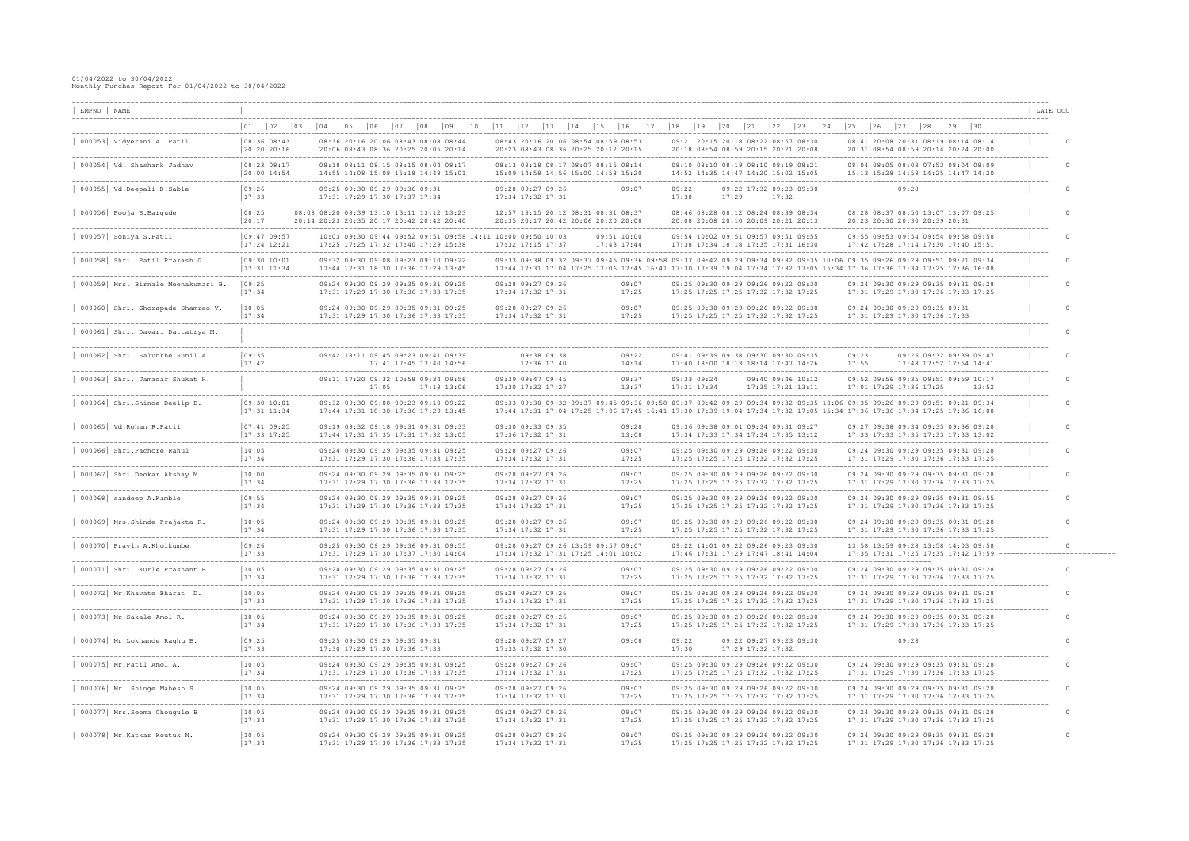| EMPNO NAME                                                                 |                                |                                                                |                                                                                                                 |                                                                |                                                                                                                  |                            |                                                                                                                      |                                                                                                                                                                                                                                                    | LATE OCC                                    |
|----------------------------------------------------------------------------|--------------------------------|----------------------------------------------------------------|-----------------------------------------------------------------------------------------------------------------|----------------------------------------------------------------|------------------------------------------------------------------------------------------------------------------|----------------------------|----------------------------------------------------------------------------------------------------------------------|----------------------------------------------------------------------------------------------------------------------------------------------------------------------------------------------------------------------------------------------------|---------------------------------------------|
| ----------------------------                                               | $ 02\rangle$<br> 03            | 105<br>l 04                                                    | 09<br>$ 10\rangle$                                                                                              |                                                                | 115<br> 16                                                                                                       | 19                         | 23<br> 24                                                                                                            | 25<br>$ 29\rangle$<br> 30                                                                                                                                                                                                                          | -----------                                 |
| 000053 Vidyerani A. Patil                                                  | 08:36 08:43<br>20:20 20:16     |                                                                | 08:36 20:16 20:06 08:43 08:08 08:44<br>20:06 08:43 08:36 20:25 20:05 20:14<br>---------------------             |                                                                | 08:43 20:16 20:06 08:54 08:59 08:53<br>20:23 08:43 08:36 20:25 20:12 20:15<br>---------------------------------- |                            | 09:21 20:15 20:18 08:22 08:57 08:30<br>20:18 08:54 08:59 20:15 20:21 20:08                                           | 08:41 20:08 20:31 08:19 08:14 08:14<br>20:31 08:54 08:59 20:14 20:24 20:00                                                                                                                                                                         | $\Omega$                                    |
| 000054 Vd. Shashank Jadhav                                                 | 08:23 08:17<br>20:00 14:54     |                                                                | 08:18 08:11 08:15 08:15 08:04 08:17<br>14:55 14:08 15:08 15:18 14:48 15:01<br>--------------------------------- |                                                                | 08:13 08:18 08:17 08:07 08:15 08:14<br>15:09 14:58 14:56 15:00 14:58 15:20                                       |                            | 08:10 08:10 08:19 08:10 08:19 08:21<br>14:52 14:35 14:47 14:20 15:02 15:05                                           | 08:04 08:05 08:08 07:53 08:04 08:09<br>15:13 15:28 14:58 14:25 14:47 14:20                                                                                                                                                                         | $\Omega$                                    |
| 000055 Vd.Deepali D.Sable                                                  | 09:26<br>17:33                 | 09:25 09:30 09:29 09:36 09:31<br>17:31 17:29 17:30 17:37 17:34 |                                                                                                                 | 09:28 09:27 09:26<br>17:34 17:32 17:31                         | 09:07                                                                                                            | 09:22<br>17:30             | 09:22 17:32 09:23 09:30<br>17:29<br>17:32                                                                            | 09:28                                                                                                                                                                                                                                              | $\overline{0}$                              |
| 000056 Pooja S.Bargude                                                     | 08:25<br> 20:17                | 20:14 20:23 20:35 20:17 20:42 20:42 20:40                      | ------------------------------<br>08:20 08:39 13:10 13:11 13:12 13:23                                           |                                                                | 12:57 13:15 20:12 08:31 08:31 08:37<br>20:35 20:17 20:42 20:06 20:20 20:08                                       |                            | --------------------------------------<br>08:46 08:28 08:12 08:24 08:39 08:34<br>20:08 20:08 20:10 20:09 20:21 20:13 | 08:28 08:37 08:50 13:07 13:07 09:25<br>20:23 20:30 20:30 20:39 20:31                                                                                                                                                                               | $\Omega$                                    |
| 000057 Soniya S.Patil                                                      | 09:47 09:57<br>$17:24$ $12:21$ |                                                                | 10:03 09:30 09:44 09:52 09:51 09:58 14:11<br>17:25 17:25 17:32 17:40 17:29 15:38                                | 10:00 09:50 10:03<br>17:32 17:15 17:37                         | 09:51 10:00<br>17:43 17:44                                                                                       |                            | _______________________________<br>09:54 10:02 09:51 09:57 09:51 09:55<br>17:38 17:34 18:18 17:35 17:31 16:30        | 09:55 09:53 09:54 09:54 09:58 09:58<br>17:42 17:28 17:14 17:30 17:40 15:51                                                                                                                                                                         | $\Omega$                                    |
| 000058 Shri. Patil Prakash G.                                              | 09:30 10:01<br>$17:31$ $11:34$ |                                                                | 09:32 09:30 09:08 09:23 09:10 09:22<br>17:44 17:31 18:30 17:36 17:29 13:45                                      |                                                                | 09:33 09:38 09:32 09:37 09:45 09:36                                                                              |                            | 09:42 09:29 09:34 09:32 09:35                                                                                        | 09:35 09:26 09:29 09:51 09:21 09:34<br>17:44 17:31 17:04 17:25 17:06 17:45 16:41 17:30 17:39 19:04 17:34 17:32 17:05 15:34 17:36 17:36 17:34 17:25 17:36 16:08                                                                                     | $\Omega$                                    |
| 000059 Mrs. Birnale Meenakumari B.                                         | 09:25<br>17:34                 |                                                                | 09:24 09:30 09:29 09:35 09:31 09:25<br>17:31 17:29 17:30 17:36 17:33 17:35                                      | 09:28 09:27 09:26<br>17:34 17:32 17:31                         | 09:07<br>17:25                                                                                                   |                            | 09:25 09:30 09:29 09:26 09:22 09:30<br>17:25 17:25 17:25 17:32 17:32 17:25                                           | 09:24 09:30 09:29 09:35 09:31 09:28<br>17:31 17:29 17:30 17:36 17:33 17:25                                                                                                                                                                         | $\Omega$                                    |
| -------------------------------------<br>000060 Shri. Ghorapade Shamrao V. | ----------<br>10:05<br>17:34   |                                                                | 09:24 09:30 09:29 09:35 09:31 09:25<br>17:31 17:29 17:30 17:36 17:33 17:35                                      | 09:28 09:27 09:26<br>17:34 17:32 17:31                         | 09:07<br>17:25                                                                                                   |                            | 09:25 09:30 09:29 09:26 09:22 09:30<br>17:25 17:25 17:25 17:32 17:32 17:25                                           | 09:24 09:30 09:29 09:35 09:31<br>17:31 17:29 17:30 17:36 17:33                                                                                                                                                                                     |                                             |
| 000061 Shri. Davari Dattatrya M.                                           |                                |                                                                |                                                                                                                 |                                                                |                                                                                                                  |                            |                                                                                                                      |                                                                                                                                                                                                                                                    |                                             |
| 000062 Shri. Salunkhe Sunil A.                                             | 09:35<br>17:42                 |                                                                | 09:42 18:11 09:45 09:23 09:41 09:39<br>17:41 17:45 17:40 14:56                                                  | 09:38 09:38<br>17:36 17:40                                     | 09:22<br>14:14                                                                                                   |                            | 09:41 09:39 09:38 09:30 09:30 09:35<br>17:40 18:00 18:13 18:14 17:47 14:26                                           | 09:23<br>09:26 09:32 09:39 09:47<br>17:55<br>17:48 17:52 17:54 14:41                                                                                                                                                                               | $\Omega$                                    |
| 000063 Shri. Jamadar Shukat H.                                             |                                | 17:05                                                          | 09:11 17:20 09:32 10:58 09:34 09:56<br>17:18 13:06                                                              | 09:39 09:47 09:45<br>17:30 17:32 17:27                         | 09:37<br>13:37                                                                                                   | 09:33 09:24<br>17:31 17:34 | 09:40 09:46 10:12<br>17:35 17:21 13:11                                                                               | 09:52 09:56 09:35 09:51 09:59 10:17<br>17:01 17:29 17:36 17:25<br>13:52                                                                                                                                                                            | $\Omega$                                    |
| 000064 Shri. Shinde Deelip B.                                              | 09:30 10:01<br>$17:31$ $11:34$ | 09:32 09:30 09:08 09:23 09:10 09:22                            | 17:44 17:31 18:30 17:36 17:29 13:45                                                                             |                                                                |                                                                                                                  |                            |                                                                                                                      | 09:33 09:38 09:32 09:37 09:45 09:36 09:58 09:37 09:42 09:29 09:34 09:32 09:35 10:06 09:35 09:26 09:29 09:51 09:21 09:34<br>17:44 17:31 17:04 17:25 17:06 17:45 16:41 17:30 17:39 19:04 17:34 17:32 17:05 15:34 17:36 17:36 17:34 17:25 17:36 16:08 | $\Omega$                                    |
| 000065 Vd. Rohan R. Patil                                                  | 07:41 09:25<br>17:33 17:25     |                                                                | 09:19 09:32 09:18 09:31 09:31 09:33<br>17:44 17:31 17:35 17:31 17:32 13:05                                      | 09:30 09:33 09:35<br>17:36 17:32 17:31                         | 09:28<br>13:08                                                                                                   |                            | 09:36 09:38 09:01 09:34 09:31 09:27<br>17:34 17:33 17:34 17:34 17:35 13:12                                           | 09:27 09:38 09:34 09:35 09:36 09:28<br>17:33 17:33 17:35 17:33 17:33 13:02                                                                                                                                                                         | $\Omega$                                    |
| 000066 Shri. Pachore Rahul                                                 | 10:05<br>17:34                 |                                                                | 09:24 09:30 09:29 09:35 09:31 09:25<br>17:31 17:29 17:30 17:36 17:33 17:35                                      | 09:28 09:27 09:26<br>17:34 17:32 17:31                         | 09:07<br>17:25                                                                                                   |                            | 09:25 09:30 09:29 09:26 09:22 09:30<br>17:25 17:25 17:25 17:32 17:32 17:25                                           | 09:24 09:30 09:29 09:35 09:31 09:28<br>17:31 17:29 17:30 17:36 17:33 17:25                                                                                                                                                                         |                                             |
| 000067 Shri.Deokar Akshay M.                                               | 10:00<br>17:34                 | --------------                                                 | 09:24 09:30 09:29 09:35 09:31 09:25<br>17:31 17:29 17:30 17:36 17:33 17:35                                      | 09:28 09:27 09:26<br>17:34 17:32 17:31                         | 09:07<br>17:25                                                                                                   |                            | 09:25 09:30 09:29 09:26 09:22 09:30<br>17:25 17:25 17:25 17:32 17:32 17:25                                           | 09:24 09:30 09:29 09:35 09:31 09:28<br>17:31 17:29 17:30 17:36 17:33 17:25                                                                                                                                                                         | $\Omega$                                    |
| 000068 sandeep A.Kamble                                                    | 09:55<br>17:34                 |                                                                | 09:24 09:30 09:29 09:35 09:31 09:25<br>17:31 17:29 17:30 17:36 17:33 17:35                                      | 09:28 09:27 09:26<br>17:34 17:32 17:31                         | 09:07<br>17:25                                                                                                   |                            | 09:25 09:30 09:29 09:26 09:22 09:30<br>17:25 17:25 17:25 17:32 17:32 17:25                                           | 09:24 09:30 09:29 09:35 09:31 09:55<br>17:31 17:29 17:30 17:36 17:33 17:25                                                                                                                                                                         | . _ _ _ _ _ _ _ _ _ _ _ _ _ _ _<br>$\Omega$ |
| 000069 Mrs. Shinde Prajakta R.                                             | 10:05<br>17:34                 |                                                                | 09:24 09:30 09:29 09:35 09:31 09:25<br>17:31 17:29 17:30 17:36 17:33 17:35                                      | 09:28 09:27 09:26<br>17:34 17:32 17:31                         | 09:07<br>17:25                                                                                                   |                            | 09:25 09:30 09:29 09:26 09:22 09:30<br>17:25 17:25 17:25 17:32 17:32 17:25                                           | 09:24 09:30 09:29 09:35 09:31 09:28<br>17:31 17:29 17:30 17:36 17:33 17:25                                                                                                                                                                         | $\Omega$                                    |
| 000070 Pravin A.Kholkumbe                                                  | 09:26<br>17:33                 |                                                                | 09:25 09:30 09:29 09:36 09:31 09:55<br>17:31 17:29 17:30 17:37 17:30 14:04                                      |                                                                | 09:28 09:27 09:26 13:59 09:57 09:07<br>17:34 17:32 17:31 17:25 14:01 10:02                                       |                            | 09:22 14:01 09:22 09:26 09:23 09:30<br>17:46 17:31 17:29 17:47 18:41 14:04                                           | 13:58 13:59 09:28 13:58 14:03 09:58<br>17:35 17:31 17:25 17:35 17:42 17:59 ----------                                                                                                                                                              |                                             |
| 000071 Shri. Kurle Prashant B.                                             | 10:05<br>17:34                 |                                                                | 09:24 09:30 09:29 09:35 09:31 09:25<br>17:31 17:29 17:30 17:36 17:33 17:35                                      | 09:28 09:27 09:26<br>17:34 17:32 17:31                         | 09:07<br>17:25                                                                                                   |                            | 09:25 09:30 09:29 09:26 09:22 09:30<br>17:25 17:25 17:25 17:32 17:32 17:25                                           | 09:24 09:30 09:29 09:35 09:31 09:28<br>17:31 17:29 17:30 17:36 17:33 17:25                                                                                                                                                                         |                                             |
| 000072 Mr.Khavate Bharat D.                                                | 10:05<br> 17:34                |                                                                | 09:24 09:30 09:29 09:35 09:31 09:25<br>17:31 17:29 17:30 17:36 17:33 17:35                                      | 09:28 09:27 09:26<br>17:34 17:32 17:31                         | 09:07<br>17:25                                                                                                   |                            | 09:25 09:30 09:29 09:26 09:22 09:30<br>17:25 17:25 17:25 17:32 17:32 17:25                                           | 09:24 09:30 09:29 09:35 09:31 09:28<br>17:31 17:29 17:30 17:36 17:33 17:25                                                                                                                                                                         |                                             |
| 000073   Mr.Sakale Amol R.                                                 | 10:05<br> 17:34                |                                                                | ------------------------------<br>09:24 09:30 09:29 09:35 09:31 09:25<br>17:31 17:29 17:30 17:36 17:33 17:35    | --------------------<br>09:28 09:27 09:26<br>17:34 17:32 17:31 | --------<br>09:07<br>17:25                                                                                       |                            | 09:25 09:30 09:29 09:26 09:22 09:30<br>17:25 17:25 17:25 17:32 17:32 17:25                                           | 09:24 09:30 09:29 09:35 09:31 09:28<br>17:31 17:29 17:30 17:36 17:33 17:25                                                                                                                                                                         |                                             |
| 000074   Mr. Lokhande Raghu B.                                             | 09:25<br> 17:33                | 09:25 09:30 09:29 09:35 09:31<br>17:30 17:29 17:30 17:36 17:33 |                                                                                                                 | 09:28 09:27 09:27<br>17:33 17:32 17:30                         | 09:08                                                                                                            | 09:22<br>17:30             | 09:22 09:27 09:23 09:30<br>17:29 17:32 17:32                                                                         | 09:28                                                                                                                                                                                                                                              |                                             |
| $000075$ Mr. Patil Amol A.                                                 | 10:05<br> 17:34                |                                                                | 09:24 09:30 09:29 09:35 09:31 09:25<br>17:31 17:29 17:30 17:36 17:33 17:35                                      | 09:28 09:27 09:26<br>17:34 17:32 17:31                         | 09:07<br>17:25                                                                                                   |                            | 09:25 09:30 09:29 09:26 09:22 09:30<br>17:25 17:25 17:25 17:32 17:32 17:25                                           | 09:24 09:30 09:29 09:35 09:31 09:28<br>17:31 17:29 17:30 17:36 17:33 17:25                                                                                                                                                                         | $\Omega$                                    |
| 000076 Mr. Shinge Mahesh S.                                                | 10:05<br> 17:34                |                                                                | 09:24 09:30 09:29 09:35 09:31 09:25<br>17:31 17:29 17:30 17:36 17:33 17:35                                      | 09:28 09:27 09:26<br>17:34 17:32 17:31                         | 09:07<br>17:25                                                                                                   |                            | -------------------------------<br>09:25 09:30 09:29 09:26 09:22 09:30<br>17:25 17:25 17:25 17:32 17:32 17:25        | -----------------------------------<br>09:24 09:30 09:29 09:35 09:31 09:28<br>17:31 17:29 17:30 17:36 17:33 17:25                                                                                                                                  | $\Omega$                                    |
| 000077   Mrs. Seema Chougule B                                             | 10:05<br> 17:34                |                                                                | 09:24 09:30 09:29 09:35 09:31 09:25<br>17:31 17:29 17:30 17:36 17:33 17:35                                      | 09:28 09:27 09:26<br>17:34 17:32 17:31                         | 09:07<br>17:25                                                                                                   |                            | 09:25 09:30 09:29 09:26 09:22 09:30<br>17:25 17:25 17:25 17:32 17:32 17:25                                           | 09:24 09:30 09:29 09:35 09:31 09:28<br>17:31 17:29 17:30 17:36 17:33 17:25                                                                                                                                                                         | 0                                           |
| 000078   Mr. Katkar Koutuk N.                                              | 10:05<br> 17:34                |                                                                | 09:24 09:30 09:29 09:35 09:31 09:25<br>17:31 17:29 17:30 17:36 17:33 17:35                                      | 09:28 09:27 09:26<br>17:34 17:32 17:31                         | 09:07<br>17:25                                                                                                   |                            | 09:25 09:30 09:29 09:26 09:22 09:30<br>17:25 17:25 17:25 17:32 17:32 17:25                                           | 09:24 09:30 09:29 09:35 09:31 09:28<br>17:31 17:29 17:30 17:36 17:33 17:25                                                                                                                                                                         | 0                                           |
|                                                                            |                                |                                                                |                                                                                                                 |                                                                |                                                                                                                  |                            |                                                                                                                      |                                                                                                                                                                                                                                                    |                                             |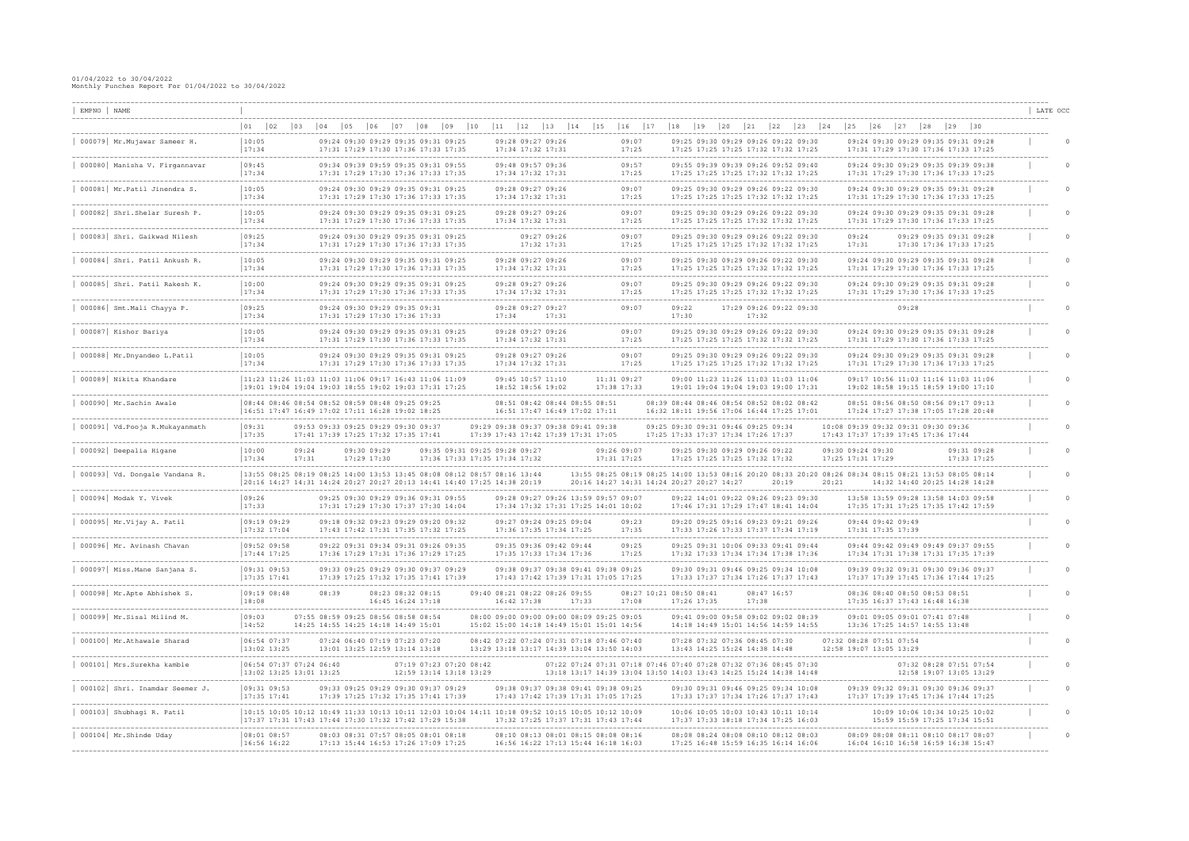| EMPNO NAME                                             |                                                                                                                                                           |              |                              |                                                                                                             |                                                                |           |             |                                                                                        |       |                            |                   |                                                                            |                |              |                                                                |                      |                                                                                                                                        |       |                                                    |                                        |                                                                                                                                        |              |                            | LATE OCC |  |
|--------------------------------------------------------|-----------------------------------------------------------------------------------------------------------------------------------------------------------|--------------|------------------------------|-------------------------------------------------------------------------------------------------------------|----------------------------------------------------------------|-----------|-------------|----------------------------------------------------------------------------------------|-------|----------------------------|-------------------|----------------------------------------------------------------------------|----------------|--------------|----------------------------------------------------------------|----------------------|----------------------------------------------------------------------------------------------------------------------------------------|-------|----------------------------------------------------|----------------------------------------|----------------------------------------------------------------------------------------------------------------------------------------|--------------|----------------------------|----------|--|
|                                                        | 02<br>$ 01\rangle$<br> 03                                                                                                                                 | $ 04\rangle$ | $ 05\rangle$<br>$ 06\rangle$ | 07<br>$\begin{array}{c} 0 & 8 \end{array}$                                                                  | $ 09\rangle$                                                   | 10<br> 11 | 12          | 13                                                                                     | $14$  | 15                         | 16                | 17                                                                         | $ 18\rangle$   | $ 19\rangle$ | $ 20\rangle$                                                   | 21                   | $ 22\rangle$<br> 23                                                                                                                    | 24    | $\begin{array}{c} \boxed{25} \end{array}$          | 26                                     | 27<br>$ 28\rangle$<br>______________________________________                                                                           | $ 29\rangle$ | 30                         |          |  |
| 000079 Mr. Mujawar Sameer H.                           | 10:05<br>17:34                                                                                                                                            |              |                              | 09:24 09:30 09:29 09:35 09:31 09:25<br>17:31 17:29 17:30 17:36 17:33 17:35                                  |                                                                |           |             | 09:28 09:27 09:26<br>17:34 17:32 17:31<br>. _ _ _ _ _ _ _ _ _ _ _ _ _ _ _ _ _ _        |       |                            | 09:07<br>17:25    |                                                                            |                |              | ------------------------------                                 |                      | 09:25 09:30 09:29 09:26 09:22 09:30<br>17:25 17:25 17:25 17:32 17:32 17:25                                                             |       |                                                    |                                        | 09:24 09:30 09:29 09:35 09:31 09:28<br>17:31 17:29 17:30 17:36 17:33 17:25<br>------------------------------                           |              |                            |          |  |
| 000080 Manisha V. Firgannavar                          | 09:45<br>17:34                                                                                                                                            |              |                              | 09:34 09:39 09:59 09:35 09:31 09:55<br>17:31 17:29 17:30 17:36 17:33 17:35                                  |                                                                |           |             | 09:48 09:57 09:36<br>17:34 17:32 17:31                                                 |       |                            | 09:57<br>17:25    |                                                                            |                |              |                                                                |                      | 09:55 09:39 09:39 09:26 09:52 09:40<br>17:25 17:25 17:25 17:32 17:32 17:25                                                             |       |                                                    |                                        | 09:24 09:30 09:29 09:35 09:39 09:38<br>17:31 17:29 17:30 17:36 17:33 17:25                                                             |              |                            |          |  |
| ----------------------<br>000081 Mr. Patil Jinendra S. | 10:05<br> 17:34                                                                                                                                           |              |                              | ----------------------------<br>09:24 09:30 09:29 09:35 09:31 09:25<br>17:31 17:29 17:30 17:36 17:33 17:35  |                                                                |           |             | --------------------<br>09:28 09:27 09:26<br>17:34 17:32 17:31                         |       |                            | 09:07<br>17:25    |                                                                            |                |              |                                                                |                      | 09:25 09:30 09:29 09:26 09:22 09:30<br>17:25 17:25 17:25 17:32 17:32 17:25                                                             |       |                                                    |                                        | --------------------------------------<br>09:24 09:30 09:29 09:35 09:31 09:28<br>17:31 17:29 17:30 17:36 17:33 17:25                   |              |                            |          |  |
| 000082 Shri.Shelar Suresh P.                           | 10:05<br>17:34                                                                                                                                            |              |                              | 09:24 09:30 09:29 09:35 09:31 09:25<br>17:31 17:29 17:30 17:36 17:33 17:35                                  |                                                                |           |             | 09:28 09:27 09:26<br>17:34 17:32 17:31                                                 |       |                            | 09:07<br>17:25    |                                                                            |                |              |                                                                |                      | 09:25 09:30 09:29 09:26 09:22 09:30<br>17:25 17:25 17:25 17:32 17:32 17:25                                                             |       |                                                    |                                        | 09:24 09:30 09:29 09:35 09:31 09:28<br>17:31 17:29 17:30 17:36 17:33 17:25                                                             |              |                            |          |  |
| 000083 Shri. Gaikwad Nilesh                            | 09:25<br>17:34                                                                                                                                            |              |                              | 09:24 09:30 09:29 09:35 09:31 09:25<br>17:31 17:29 17:30 17:36 17:33 17:35                                  |                                                                |           |             | 09:27 09:26<br>17:32 17:31                                                             |       |                            | 09:07<br>17:25    |                                                                            |                |              |                                                                |                      | 09:25 09:30 09:29 09:26 09:22 09:30<br>17:25 17:25 17:25 17:32 17:32 17:25                                                             |       | 09:24<br>17:31                                     |                                        | 09:29 09:35 09:31 09:28<br>17:30 17:36 17:33 17:25                                                                                     |              |                            |          |  |
| 000084 Shri. Patil Ankush R.                           | 10:05<br>17:34                                                                                                                                            |              |                              | -----------------------------<br>09:24 09:30 09:29 09:35 09:31 09:25<br>17:31 17:29 17:30 17:36 17:33 17:35 |                                                                |           |             | 09:28 09:27 09:26<br>17:34 17:32 17:31                                                 |       |                            | 09:07<br>17:25    |                                                                            |                |              | ------------------------------                                 |                      | 09:25 09:30 09:29 09:26 09:22 09:30<br>17:25 17:25 17:25 17:32 17:32 17:25                                                             |       |                                                    |                                        | -------------------------<br>09:24 09:30 09:29 09:35 09:31 09:28<br>17:31 17:29 17:30 17:36 17:33 17:25                                |              |                            |          |  |
| 000085 Shri. Patil Rakesh K.                           | 10:00 <br>17:34                                                                                                                                           |              |                              | 09:24 09:30 09:29 09:35 09:31 09:25<br>17:31 17:29 17:30 17:36 17:33 17:35                                  |                                                                |           |             | 09:28 09:27 09:26<br>17:34 17:32 17:31                                                 |       |                            | 09:07<br>17:25    |                                                                            |                |              |                                                                |                      | 09:25 09:30 09:29 09:26 09:22 09:30<br>17:25 17:25 17:25 17:32 17:32 17:25                                                             |       |                                                    |                                        | 09:24 09:30 09:29 09:35 09:31 09:28<br>17:31 17:29 17:30 17:36 17:33 17:25                                                             |              |                            |          |  |
| 000086 Smt. Mali Chayya P.                             | 09:25<br>17:34                                                                                                                                            |              |                              | 09:24 09:30 09:29 09:35 09:31<br>17:31 17:29 17:30 17:36 17:33                                              |                                                                |           | 17:34       | ------------------------------<br>09:28 09:27 09:27<br>17:31                           |       |                            | --------<br>09:07 |                                                                            | 09:22<br>17:30 |              |                                                                | 17:32                | 17:29 09:26 09:22 09:30                                                                                                                |       |                                                    |                                        | 09:28                                                                                                                                  |              |                            |          |  |
| 000087 Kishor Bariya                                   | 10:05<br> 17:34                                                                                                                                           |              |                              | 09:24 09:30 09:29 09:35 09:31 09:25<br>17:31 17:29 17:30 17:36 17:33 17:35                                  |                                                                |           |             | 09:28 09:27 09:26<br>17:34 17:32 17:31                                                 |       |                            | 09:07<br>17:25    |                                                                            |                |              |                                                                |                      | 09:25 09:30 09:29 09:26 09:22 09:30<br>17:25 17:25 17:25 17:32 17:32 17:25                                                             |       |                                                    |                                        | 09:24 09:30 09:29 09:35 09:31 09:28<br>17:31 17:29 17:30 17:36 17:33 17:25                                                             |              |                            |          |  |
| 000088 Mr.Dnyandeo L.Patil                             | 10:05<br>17:34                                                                                                                                            |              |                              | ----------------------<br>09:24 09:30 09:29 09:35 09:31 09:25<br>17:31 17:29 17:30 17:36 17:33 17:35        |                                                                |           |             | 09:28 09:27 09:26<br>17:34 17:32 17:31                                                 |       |                            | 09:07<br>17:25    |                                                                            |                |              | ----------------------                                         |                      | 09:25 09:30 09:29 09:26 09:22 09:30<br>17:25 17:25 17:25 17:32 17:32 17:25                                                             |       |                                                    |                                        | 09:24 09:30 09:29 09:35 09:31 09:28<br>17:31 17:29 17:30 17:36 17:33 17:25                                                             |              |                            |          |  |
| --------------------------<br>000089 Nikita Khandare   | 11:23 11:26 11:03 11:03 11:06 09:17 16:43 11:06 11:09<br> 19:01 19:04 19:04 19:03 18:55 19:02 19:03 17:31 17:25                                           |              |                              |                                                                                                             |                                                                |           |             | 09:45 10:57 11:10<br>18:52 18:56 19:02                                                 |       | 11:31 09:27<br>17:38 17:33 |                   |                                                                            |                |              |                                                                |                      | 09:00 11:23 11:26 11:03 11:03 11:06<br>19:01 19:04 19:04 19:03 19:00 17:31                                                             |       |                                                    |                                        | 09:17 10:56 11:03 11:16 11:03 11:06<br>19:02 18:58 19:15 18:59 19:00 17:10                                                             |              |                            |          |  |
| 000090 Mr. Sachin Awale                                | 08:44 08:46 08:54 08:52 08:59 08:48 09:25 09:25<br> 16:51 17:47 16:49 17:02 17:11 16:28 19:02 18:25                                                       |              |                              |                                                                                                             |                                                                |           |             | 08:51 08:42 08:44 08:55 08:51<br>16:51 17:47 16:49 17:02 17:11                         |       |                            |                   |                                                                            |                |              |                                                                |                      | 08:39 08:44 08:46 08:54 08:52 08:02 08:42<br>16:32 18:11 19:56 17:06 16:44 17:25 17:01                                                 |       |                                                    |                                        | 08:51 08:56 08:50 08:56 09:17 09:13<br>17:24 17:27 17:38 17:05 17:28 20:48                                                             |              |                            |          |  |
| 000091 Vd. Pooja R. Mukayanmath                        | 09:31<br> 17:35                                                                                                                                           |              |                              | 09:53 09:33 09:25 09:29 09:30 09:37<br>17:41 17:39 17:25 17:32 17:35 17:41                                  |                                                                |           |             | 09:29 09:38 09:37 09:38 09:41 09:38<br>17:39 17:43 17:42 17:39 17:31 17:05             |       |                            |                   | 09:25 09:30 09:31 09:46 09:25 09:34<br>17:25 17:33 17:37 17:34 17:26 17:37 |                |              |                                                                |                      | ----------------------------------                                                                                                     |       |                                                    |                                        | 10:08 09:39 09:32 09:31 09:30 09:36<br>17:43 17:37 17:39 17:45 17:36 17:44                                                             |              |                            |          |  |
| 000092 Deepalia Higane                                 | 10:00 <br>09:24<br> 17:34<br>17:31                                                                                                                        |              | 09:30 09:29<br>17:29 17:30   |                                                                                                             | 09:35 09:31 09:25 09:28 09:27<br>17:36 17:33 17:35 17:34 17:32 |           |             |                                                                                        |       | 09:26 09:07<br>17:31 17:25 |                   |                                                                            |                |              | 09:25 09:30 09:29 09:26 09:22<br>17:25 17:25 17:25 17:32 17:32 |                      |                                                                                                                                        |       | 09:30 09:24 09:30<br>17:25 17:31 17:29             |                                        | ------------------------                                                                                                               |              | 09:31 09:28<br>17:33 17:25 |          |  |
| 000093 Vd. Dongale Vandana R.                          | 13:55 08:25 08:19 08:25 14:00 13:53 13:45 08:08 08:12 08:57 08:16 13:44<br>20:16 14:27 14:31 14:24 20:27 20:27 20:13 14:41 14:40 17:25 14:38 20:19        |              |                              |                                                                                                             |                                                                |           |             |                                                                                        |       |                            |                   | 20:16 14:27 14:31 14:24 20:27 20:27 14:27                                  |                |              |                                                                |                      | 20:19                                                                                                                                  | 20:21 |                                                    |                                        | 13:55 08:25 08:19 08:25 14:00 13:53 08:16 20:20 08:33 20:20 08:26 08:34 08:15 08:21 13:53 08:05 08:14<br>14:32 14:40 20:25 14:28 14:28 |              |                            |          |  |
| $000094$ Modak Y. Vivek                                | 09:26<br>17:33                                                                                                                                            |              |                              | 09:25 09:30 09:29 09:36 09:31 09:55<br>17:31 17:29 17:30 17:37 17:30 14:04                                  |                                                                |           |             | 09:28 09:27 09:26 13:59 09:57 09:07<br>17:34 17:32 17:31 17:25 14:01 10:02             |       |                            |                   |                                                                            |                |              |                                                                |                      | 09:22 14:01 09:22 09:26 09:23 09:30<br>17:46 17:31 17:29 17:47 18:41 14:04                                                             |       |                                                    |                                        | 13:58 13:59 09:28 13:58 14:03 09:58<br>17:35 17:31 17:25 17:35 17:42 17:59                                                             |              |                            |          |  |
| 000095 Mr. Vijay A. Patil                              | 09:1909:29<br>$17:32$ 17:04                                                                                                                               |              |                              | 09:18 09:32 09:23 09:29 09:20 09:32<br>17:43 17:42 17:31 17:35 17:32 17:25                                  |                                                                |           |             | 09:27 09:24 09:25 09:04<br>17:36 17:35 17:34 17:25                                     |       |                            | 09:23<br>17:35    |                                                                            |                |              |                                                                |                      | 09:20 09:25 09:16 09:23 09:21 09:26<br>17:33 17:26 17:33 17:37 17:34 17:19                                                             |       |                                                    | 09:44 09:42 09:49<br>17:31 17:35 17:39 |                                                                                                                                        |              |                            |          |  |
| 000096 Mr. Avinash Chavar                              | 09:52 09:58<br>17:44 17:25                                                                                                                                |              |                              | 09:22 09:31 09:34 09:31 09:26 09:35<br>17:36 17:29 17:31 17:36 17:29 17:25                                  |                                                                |           |             | 09:35 09:36 09:42 09:44<br>17:35 17:33 17:34 17:36                                     |       |                            | 17:25             |                                                                            |                |              |                                                                |                      | 09:25 09:31 10:06 09:33 09:41 09:44<br>17:32 17:33 17:34 17:34 17:38 17:36                                                             |       |                                                    |                                        | 09:44 09:42 09:49 09:49 09:37 09:55<br>17:34 17:31 17:38 17:31 17:35 17:39                                                             |              |                            |          |  |
| 000097 Miss. Mane Sanjana S.                           | 09:31 09:53<br>$17:35$ $17:41$                                                                                                                            |              |                              | 09:33 09:25 09:29 09:30 09:37 09:29<br>17:39 17:25 17:32 17:35 17:41 17:39                                  |                                                                |           |             | 09:38 09:37 09:38 09:41 09:38 09:25<br>17:43 17:42 17:39 17:31 17:05 17:25             |       |                            |                   |                                                                            |                |              |                                                                |                      | 09:30 09:31 09:46 09:25 09:34 10:08<br>17:33 17:37 17:34 17:26 17:37 17:43                                                             |       |                                                    |                                        | 09:39 09:32 09:31 09:30 09:36 09:37<br>17:37 17:39 17:45 17:36 17:44 17:25                                                             |              |                            |          |  |
| 000098 Mr. Apte Abhishek S.                            | 09:19 08:48<br> 18:08                                                                                                                                     | 08:39        |                              | 08:23 08:32 08:15<br>16:45 16:24 17:18                                                                      |                                                                |           | 16:42 17:38 | 09:40 08:21 08:22 08:26 09:55                                                          | 17:33 |                            | 17:08             | 08:27 10:21 08:50 08:41                                                    | 17:26 17:35    |              |                                                                | 08:47 16:57<br>17:38 |                                                                                                                                        |       |                                                    |                                        | 08:36 08:40 08:50 08:53 08:51<br>17:35 16:37 17:43 16:48 16:38                                                                         |              |                            |          |  |
| 000099 Mr.Sisal Milind M.                              | 09:03<br>14:52                                                                                                                                            |              |                              | 07:55 08:59 09:25 08:56 08:58 08:54<br>14:25 14:55 14:25 14:18 14:49 15:01                                  |                                                                |           |             | 08:00 09:00 09:00 09:00 08:09 09:25 09:05<br>15:02 15:00 14:18 14:49 15:01 15:01 14:56 |       |                            |                   |                                                                            |                |              |                                                                |                      | 09:41 09:00 09:58 09:02 09:02 08:39<br>14:18 14:49 15:01 14:56 14:59 14:55                                                             |       |                                                    |                                        | 09:01 09:05 09:01 07:41 07:48<br>13:36 17:25 14:57 14:55 13:48                                                                         |              |                            |          |  |
| 000100 Mr.Athawale Sharad                              | 06:54 07:37<br>13:02 13:25                                                                                                                                |              |                              | 07:24 06:40 07:19 07:23 07:20<br>13:01 13:25 12:59 13:14 13:18                                              |                                                                |           |             | 08:42 07:22 07:24 07:31 07:18 07:46 07:40<br>13:29 13:18 13:17 14:39 13:04 13:50 14:03 |       |                            |                   |                                                                            |                |              | 07:28 07:32 07:36 08:45 07:30<br>13:43 14:25 15:24 14:38 14:48 |                      |                                                                                                                                        |       | 07:32 08:28 07:51 07:54<br>12:58 19:07 13:05 13:29 |                                        |                                                                                                                                        |              |                            |          |  |
| 000101 Mrs. Surekha kamble                             | 06:54 07:37 07:24 06:40<br> 13:02 13:25 13:01 13:25                                                                                                       |              |                              | 07:19 07:23 07:20 08:42<br>12:59 13:14 13:18 13:29                                                          |                                                                |           |             |                                                                                        |       |                            |                   |                                                                            |                |              |                                                                |                      | 07:22 07:24 07:31 07:18 07:46 07:40 07:28 07:32 07:36 08:45 07:30<br>13:18 13:17 14:39 13:04 13:50 14:03 13:43 14:25 15:24 14:38 14:48 |       |                                                    |                                        | 07:32 08:28 07:51 07:54<br>12:58 19:07 13:05 13:29                                                                                     |              |                            |          |  |
| 000102 Shri. Inamdar Seemer J.                         | $09:31$ 09:53<br>$ 17:35 \t17:41$                                                                                                                         |              |                              | 09:33 09:25 09:29 09:30 09:37 09:29<br>17:39 17:25 17:32 17:35 17:41 17:39                                  |                                                                |           |             | 09:38 09:37 09:38 09:41 09:38 09:25<br>17:43 17:42 17:39 17:31 17:05 17:25             |       |                            |                   |                                                                            |                |              |                                                                |                      | 09:30 09:31 09:46 09:25 09:34 10:08<br>17:33 17:37 17:34 17:26 17:37 17:43                                                             |       |                                                    |                                        | 09:39 09:32 09:31 09:30 09:36 09:37<br>17:37 17:39 17:45 17:36 17:44 17:25                                                             |              |                            |          |  |
| 000103 Shubhagi R. Patil                               | 10:15 10:05 10:12 10:49 11:33 10:13 10:11 12:03 10:04 14:11 10:18 09:52 10:15 10:05 10:12 10:09<br> 17:37 17:31 17:43 17:44 17:30 17:32 17:42 17:29 15:38 |              |                              |                                                                                                             |                                                                |           |             | 17:32 17:25 17:37 17:31 17:43 17:44                                                    |       |                            |                   |                                                                            |                |              |                                                                |                      | 10:06 10:05 10:03 10:43 10:11 10:14<br>17:37 17:33 18:18 17:34 17:25 16:03                                                             |       |                                                    |                                        | 10:09 10:06 10:34 10:25 10:02<br>15:59 15:59 17:25 17:34 15:51                                                                         |              |                            |          |  |
| 000104 Mr.Shinde Uday                                  | 08:01 08:57<br>16:56 16:22                                                                                                                                |              |                              | 08:03 08:31 07:57 08:05 08:01 08:18<br>17:13 15:44 16:53 17:26 17:09 17:25                                  |                                                                |           |             | 08:10 08:13 08:01 08:15 08:08 08:16<br>16:56 16:22 17:13 15:44 16:18 16:03             |       |                            |                   |                                                                            |                |              |                                                                |                      | 08:08 08:24 08:08 08:10 08:12 08:03<br>17:25 16:48 15:59 16:35 16:14 16:06                                                             |       |                                                    |                                        | 08:09 08:08 08:11 08:10 08:17 08:07<br>16:04 16:10 16:58 16:59 16:38 15:47                                                             |              |                            |          |  |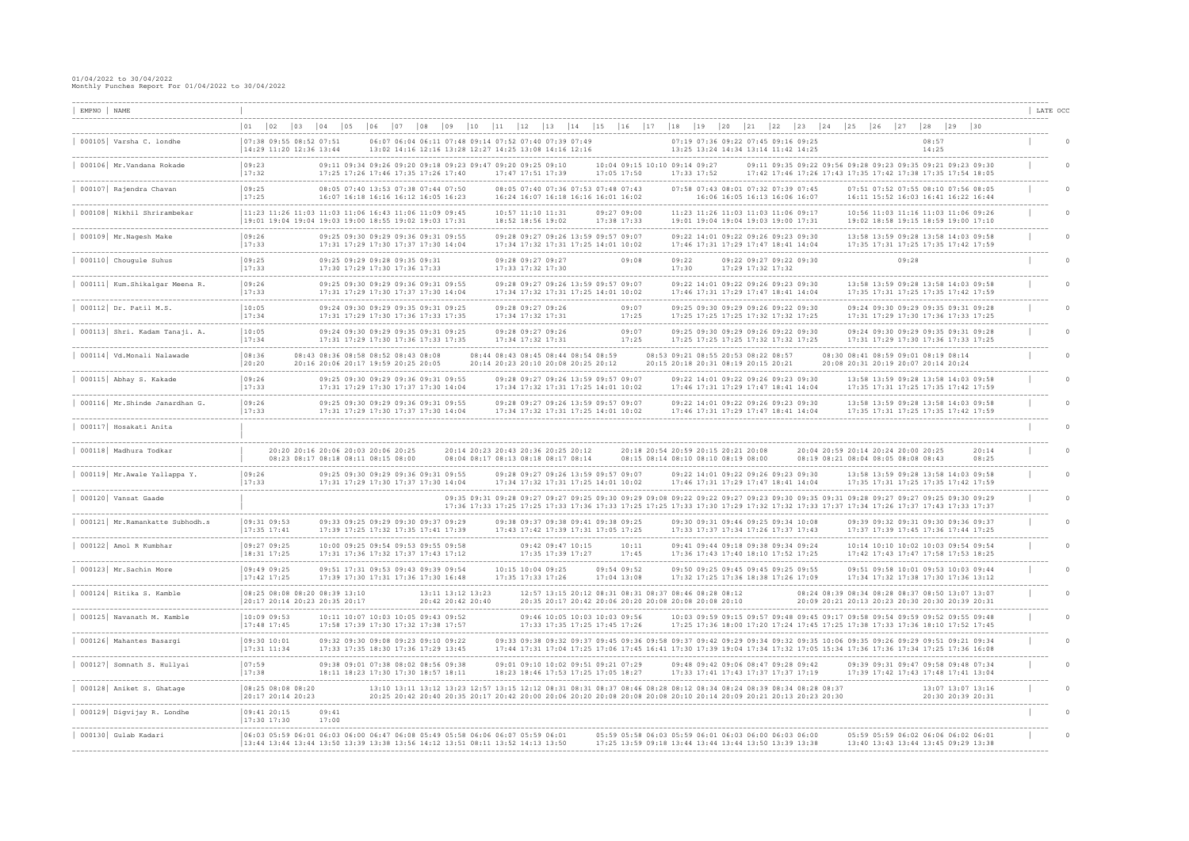| EMPNO   NAME                                                      |                                                                                                                                                                                                                                                                                                                                                                                                          | LATE OCC |
|-------------------------------------------------------------------|----------------------------------------------------------------------------------------------------------------------------------------------------------------------------------------------------------------------------------------------------------------------------------------------------------------------------------------------------------------------------------------------------------|----------|
| --------------                                                    | $ 02\rangle$<br> 18<br>  01<br>$ 03\rangle$<br>$ 04\rangle$<br> 05<br>106<br>14<br> 15<br>$ 16\rangle$<br>117<br>$19$<br> 23<br> 25<br> 26<br>$ 28\rangle$<br>$ 29\rangle$<br>107<br> 10<br>  12 <br> 13 <br> 24<br>127<br>  30                                                                                                                                                                          |          |
| 000105 Varsha C. londhe                                           | $ 07:38$ 09:55 08:52 07:51<br>06:07 06:04 06:11 07:48 09:14 07:52 07:40 07:39 07:49<br>07:19 07:36 09:22 07:45 09:16 09:25<br>08:57<br>14:29 11:20 12:36 13:44<br>13:02 14:16 12:16 13:28 12:27 14:25 13:08 14:16 12:16<br>13:25 13:24 14:34 13:14 11:42 14:25<br>14:25                                                                                                                                  |          |
| -------------------------------------<br>000106 Mr.Vandana Rokade | --------------------<br> 09:23<br>09:11 09:34 09:26 09:20 09:18 09:23 09:47 09:20 09:25 09:10<br>10:04 09:15 10:10 09:14 09:27<br>09:11 09:35 09:22 09:56 09:28 09:23 09:35 09:21 09:23 09:30<br> 17:32<br>17:25 17:26 17:46 17:35 17:26 17:40<br>17:05 17:50<br>17:33 17:52<br>17:42 17:46 17:26 17:43 17:35 17:42 17:38 17:35 17:54 18:05<br>17:47 17:51 17:39                                         |          |
| 000107 Rajendra Chavan                                            | -------------------------------<br> 09:25<br>08:05 07:40 13:53 07:38 07:44 07:50<br>07:58 07:43 08:01 07:32 07:39 07:45<br>08:05 07:40 07:36 07:53 07:48 07:43<br>07:51 07:52 07:55 08:10 07:56 08:05<br>17:25<br>16:11 15:52 16:03 16:41 16:22 16:44<br>16:07 16:18 16:16 16:12 16:05 16:23<br>16:24 16:07 16:18 16:16 16:01 16:02<br>16:06 16:05 16:13 16:06 16:07                                     |          |
| 000108 Nikhil Shrirambekar                                        | 11:23 11:26 11:03 11:03 11:06 16:43 11:06 11:09 09:45<br>11:23 11:26 11:03 11:03 11:06 09:17<br>10:56 11:03 11:16 11:03 11:06 09:26<br>10:57 11:10 11:31<br>09:27 09:00<br>19:01 19:04 19:04 19:03 19:00 18:55 19:02 19:03 17:31<br>18:52 18:56 19:02<br>17:38 17:33<br>19:01 19:04 19:04 19:03 19:00 17:31<br>19:02 18:58 19:15 18:59 19:00 17:10                                                       |          |
| 000109 Mr. Nagesh Make                                            | 09:26<br>09:28 09:27 09:26 13:59 09:57 09:07<br>09:25 09:30 09:29 09:36 09:31 09:55<br>09:22 14:01 09:22 09:26 09:23 09:30<br>13:58 13:59 09:28 13:58 14:03 09:58<br> 17:33 <br>17:31 17:29 17:30 17:37 17:30 14:04<br>17:34 17:32 17:31 17:25 14:01 10:02<br>17:46 17:31 17:29 17:47 18:41 14:04<br>17:35 17:31 17:25 17:35 17:42 17:59                                                                 |          |
| 000110 Chougule Suhus                                             | ----------------------<br> 09:25<br>09:25 09:29 09:28 09:35 09:31<br>09:08<br>09:28<br>09:28 09:27 09:27<br>09:22<br>09:22 09:27 09:22 09:30<br>17:33<br>17:30 17:29 17:30 17:36 17:33<br>17:33 17:32 17:30<br>17:30<br>17:29 17:32 17:32                                                                                                                                                                |          |
| 000111 Kum. Shikalgar Meena R.                                    | 09:26<br>09:28 09:27 09:26 13:59 09:57 09:07<br>13:58 13:59 09:28 13:58 14:03 09:58<br>09:25 09:30 09:29 09:36 09:31 09:55<br>09:22 14:01 09:22 09:26 09:23 09:30<br> 17:33 <br>17:31 17:29 17:30 17:37 17:30 14:04<br>17:34 17:32 17:31 17:25 14:01 10:02<br>17:46 17:31 17:29 17:47 18:41 14:04<br>17:35 17:31 17:25 17:35 17:42 17:59                                                                 |          |
| 000112 Dr. Patil M.S.                                             | 10:05<br>09:07<br>09:24 09:30 09:29 09:35 09:31 09:25<br>09:28 09:27 09:26<br>09:25 09:30 09:29 09:26 09:22 09:30<br>09:24 09:30 09:29 09:35 09:31 09:28<br> 17:34<br>17:31 17:29 17:30 17:36 17:33 17:35<br>17:34 17:32 17:31<br>17:25<br>17:25 17:25 17:25 17:32 17:32 17:25<br>17:31 17:29 17:30 17:36 17:33 17:25                                                                                    |          |
| 000113 Shri. Kadam Tanaji. A.                                     | --------------------<br>10:05<br>09:07<br>09:24 09:30 09:29 09:35 09:31 09:25<br>09:28 09:27 09:26<br>09:25 09:30 09:29 09:26 09:22 09:30<br>09:24 09:30 09:29 09:35 09:31 09:28<br> 17:34<br>17:25<br>17:25 17:25 17:25 17:32 17:32 17:25<br>17:31 17:29 17:30 17:36 17:33 17:25<br>17:31 17:29 17:30 17:36 17:33 17:35<br>17:34 17:32 17:31                                                            |          |
| 000114   Vd.Monali Nalawade                                       | -----------------------<br>____________________<br> 08:36<br>08:43 08:36 08:58 08:52 08:43 08:08<br>08:53 09:21 08:55 20:53 08:22 08:57<br>08:30 08:41 08:59 09:01 08:19 08:14<br>08:44 08:43 08:45 08:44 08:54 08:59<br> 20:20<br>20:16 20:06 20:17 19:59 20:25 20:05<br>20:14 20:23 20:10 20:08 20:25 20:12<br>20:15 20:18 20:31 08:19 20:15 20:21<br>20:08 20:31 20:19 20:07 20:14 20:24              |          |
| 000115 Abhay S. Kakade                                            | 09:26<br>09:25 09:30 09:29 09:36 09:31 09:55<br>09:28 09:27 09:26 13:59 09:57 09:07<br>09:22 14:01 09:22 09:26 09:23 09:30<br>13:58 13:59 09:28 13:58 14:03 09:58<br> 17:33<br>17:31 17:29 17:30 17:37 17:30 14:04<br>17:34 17:32 17:31 17:25 14:01 10:02<br>17:46 17:31 17:29 17:47 18:41 14:04<br>17:35 17:31 17:25 17:35 17:42 17:59                                                                  |          |
| 000116 Mr. Shinde Janardhan G.                                    | ----------------<br>------------------<br>__________________<br> 09:26<br>09:25 09:30 09:29 09:36 09:31 09:55<br>09:28 09:27 09:26 13:59 09:57 09:07<br>09:22 14:01 09:22 09:26 09:23 09:30<br>13:58 13:59 09:28 13:58 14:03 09:58<br> 17:33<br>17:31 17:29 17:30 17:37 17:30 14:04<br>17:34 17:32 17:31 17:25 14:01 10:02<br>17:46 17:31 17:29 17:47 18:41 14:04<br>17:35 17:31 17:25 17:35 17:42 17:59 |          |
| 000117 Hosakati Anita                                             |                                                                                                                                                                                                                                                                                                                                                                                                          |          |
| 000118 Madhura Todkar                                             | 20:20 20:16 20:06 20:03 20:06 20:25<br>20:14 20:23 20:43 20:36 20:25 20:12<br>20:18 20:54 20:59 20:15 20:21 20:08<br>20:04 20:59 20:14 20:24 20:00 20:25<br>20:14<br>08:23 08:17 08:18 08:11 08:15 08:00<br>08:04 08:17 08:13 08:18 08:17 08:14<br>08:15 08:14 08:10 08:10 08:19 08:00<br>08:19 08:21 08:04 08:05 08:08 08:43<br>08:25                                                                   |          |
| 000119 Mr.Awale Yallappa Y.                                       | 09:26<br>09:25 09:30 09:29 09:36 09:31 09:55<br>09:28 09:27 09:26 13:59 09:57 09:07<br>09:22 14:01 09:22 09:26 09:23 09:30<br>13:58 13:59 09:28 13:58 14:03 09:58<br> 17:33 <br>17:31 17:29 17:30 17:37 17:30 14:04<br>17:34 17:32 17:31 17:25 14:01 10:02<br>17:46 17:31 17:29 17:47 18:41 14:04<br>17:35 17:31 17:25 17:35 17:42 17:59                                                                 |          |
| 000120 Vansat Gaade                                               | 09:35 09:31 09:28 09:27 09:27 09:25 09:30 09:29 09:08 09:22 09:22 09:27 09:23 09:30 09:35 09:31 09:28 09:27 09:27 09:25 09:30 09:29<br>17:36 17:33 17:25 17:25 17:33 17:36 17:33 17:25 17:25 17:33 17:30 17:29 17:32 17:32 17:33 17:37 17:34 17:26 17:37 17:43 17:33 17:37                                                                                                                               |          |
| 000121 Mr.Ramankatte Subhodh.s                                    | 09:31 09:53<br>09:33 09:25 09:29 09:30 09:37 09:29<br>09:38 09:37 09:38 09:41 09:38 09:25<br>09:30 09:31 09:46 09:25 09:34 10:08<br>09:39 09:32 09:31 09:30 09:36 09:37<br> 17:35 17:41<br>17:39 17:25 17:32 17:35 17:41 17:39<br>17:33 17:37 17:34 17:26 17:37 17:43<br>17:37 17:39 17:45 17:36 17:44 17:25<br>17:43 17:42 17:39 17:31 17:05 17:25                                                      |          |
| 000122 Amol R Kumbhar                                             | 09:27 09:25<br>10:00 09:25 09:54 09:53 09:55 09:58<br>09:42 09:47 10:15<br>09:41 09:44 09:18 09:38 09:34 09:24<br>10:14 10:10 10:02 10:03 09:54 09:54<br>10:11<br>18:31 17:25<br>17:31 17:36 17:32 17:37 17:43 17:12<br>17:35 17:39 17:27<br>17:45<br>17:36 17:43 17:40 18:10 17:52 17:25<br>17:42 17:43 17:47 17:58 17:53 18:25                                                                         |          |
| 000123 Mr. Sachin More                                            | 09:49 09:25<br>09:51 17:31 09:53 09:43 09:39 09:54<br>09:50 09:25 09:45 09:45 09:25 09:55<br>09:51 09:58 10:01 09:53 10:03 09:44<br>10:15 10:04 09:25<br>09:54 09:52<br>$17:42$ 17:25<br>17:39 17:30 17:31 17:36 17:30 16:48<br>17:35 17:33 17:26<br>$17:04$ $13:08$<br>17:32 17:25 17:36 18:38 17:26 17:09<br>17:34 17:32 17:38 17:30 17:36 13:12                                                       |          |
| ---------------------<br>000124 Ritika S. Kamble                  | 08:25 08:08 08:20 08:39 13:10<br>12:57 13:15 20:12 08:31 08:31 08:37 08:46 08:28 08:12<br>08:24 08:39 08:34 08:28 08:37 08:50 13:07 13:07<br>13:11 13:12 13:23<br>20:17 20:14 20:23 20:35 20:17<br>20:42 20:42 20:40<br>20:35 20:17 20:42 20:06 20:20 20:08 20:08 20:08 20:10<br>20:09 20:21 20:13 20:23 20:30 20:30 20:39 20:31                                                                         |          |
| 000125 Navanath M. Kamble                                         | 10:09 09:53<br>10:11 10:07 10:03 10:05 09:43 09:52<br>10:03 09:59 09:15 09:57 09:48 09:45 09:17 09:58 09:54 09:59 09:52 09:55 09:48<br>09:46 10:05 10:03 10:03 09:56<br>$17:48$ 17:45<br>17:58 17:39 17:30 17:32 17:38 17:57<br>17:33 17:35 17:25 17:45 17:26<br>17:25 17:36 18:00 17:20 17:24 17:45 17:25 17:38 17:33 17:36 18:10 17:52 17:45                                                           |          |
| --------------------------<br>000126 Mahantes Basargi             | -------------<br>09:30 10:01<br>09:33 09:38 09:32 09:37 09:45 09:36 09:58 09:37 09:42 09:29 09:34 09:32 09:35 10:06 09:35 09:26 09:29 09:51 09:21 09:34<br>09:32 09:30 09:08 09:23 09:10 09:22<br>$ 17:31 \t11:34$<br>17:33 17:35 18:30 17:36 17:29 13:45<br>17:44 17:31 17:04 17:25 17:06 17:45 16:41 17:30 17:39 19:04 17:34 17:32 17:05 15:34 17:36 17:36 17:34 17:25 17:36 16:08                     |          |
| 000127 Somnath S. Hullyai                                         | -----------------------------------<br> 07:59<br>09:38 09:01 07:38 08:02 08:56 09:38<br>09:01 09:10 10:02 09:51 09:21 07:29<br>09:48 09:42 09:06 08:47 09:28 09:42<br>09:39 09:31 09:47 09:58 09:48 07:34<br>17:38<br>18:11 18:23 17:30 17:30 18:57 18:11<br>18:23 18:46 17:53 17:25 17:05 18:27<br>17:33 17:41 17:43 17:37 17:37 17:19<br>17:39 17:42 17:43 17:48 17:41 13:04                           |          |
| ------------------<br>000128 Aniket S. Ghatage                    | 08:25 08:08 08:20<br>13:10 13:11 13:12 13:23 12:57 13:15 12:12 08:31 08:31 08:37 08:46 08:28 08:12 08:34 08:24 08:39 08:34 08:28 08:37<br>13:07 13:07 13:16<br> 20:17 20:14 20:23<br>20:25 20:42 20:40 20:35 20:17 20:42 20:00 20:06 20:20 20:08 20:08 20:08 20:10 20:14 20:09 20:21 20:13 20:23 20:30<br>20:30 20:39 20:31                                                                              |          |
| -------------------------<br>000129 Digvijay R. Londhe            | 09:41 20:15<br>09:41<br>$17:30$ 17:30<br>17:00                                                                                                                                                                                                                                                                                                                                                           |          |
| 000130 Gulab Kadari                                               | 06:03 05:59 06:01 06:03 06:00 06:47 06:08 05:49 05:58 06:06 06:07 05:59 06:01<br>05:59 05:58 06:03 05:59 06:01 06:03 06:00 06:03 06:00<br>05:59 05:59 06:02 06:06 06:02 06:01<br> 13:44 13:44 13:44 13:50 13:39 13:38 13:56 14:12 13:51 08:11 13:52 14:13 13:50<br>17:25 13:59 09:18 13:44 13:44 13:44 13:50 13:39 13:38<br>13:40 13:43 13:44 13:45 09:29 13:38                                          |          |
|                                                                   |                                                                                                                                                                                                                                                                                                                                                                                                          |          |